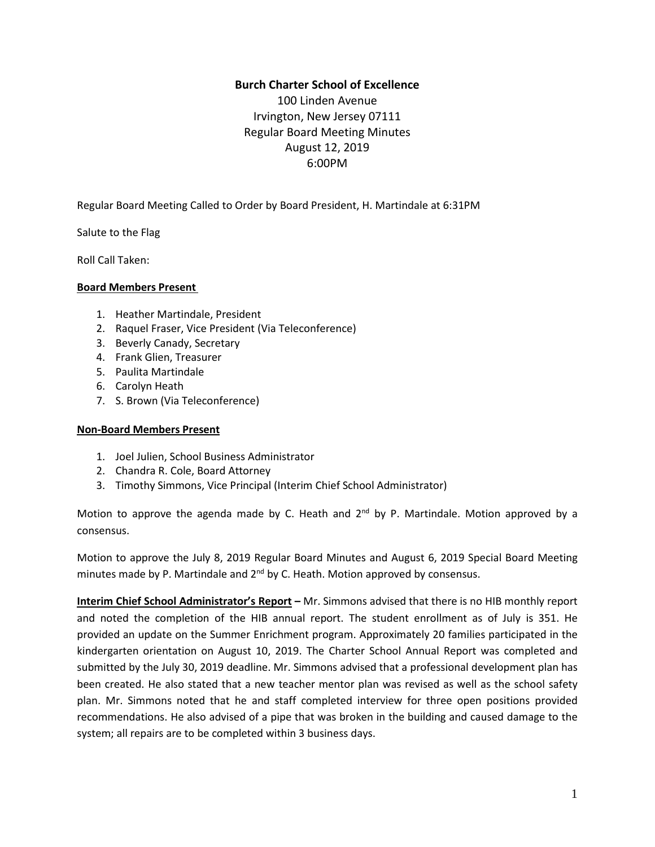# **Burch Charter School of Excellence**

100 Linden Avenue Irvington, New Jersey 07111 Regular Board Meeting Minutes August 12, 2019 6:00PM

Regular Board Meeting Called to Order by Board President, H. Martindale at 6:31PM

Salute to the Flag

Roll Call Taken:

## **Board Members Present**

- 1. Heather Martindale, President
- 2. Raquel Fraser, Vice President (Via Teleconference)
- 3. Beverly Canady, Secretary
- 4. Frank Glien, Treasurer
- 5. Paulita Martindale
- 6. Carolyn Heath
- 7. S. Brown (Via Teleconference)

# **Non-Board Members Present**

- 1. Joel Julien, School Business Administrator
- 2. Chandra R. Cole, Board Attorney
- 3. Timothy Simmons, Vice Principal (Interim Chief School Administrator)

Motion to approve the agenda made by C. Heath and 2<sup>nd</sup> by P. Martindale. Motion approved by a consensus.

Motion to approve the July 8, 2019 Regular Board Minutes and August 6, 2019 Special Board Meeting minutes made by P. Martindale and 2<sup>nd</sup> by C. Heath. Motion approved by consensus.

**Interim Chief School Administrator's Report –** Mr. Simmons advised that there is no HIB monthly report and noted the completion of the HIB annual report. The student enrollment as of July is 351. He provided an update on the Summer Enrichment program. Approximately 20 families participated in the kindergarten orientation on August 10, 2019. The Charter School Annual Report was completed and submitted by the July 30, 2019 deadline. Mr. Simmons advised that a professional development plan has been created. He also stated that a new teacher mentor plan was revised as well as the school safety plan. Mr. Simmons noted that he and staff completed interview for three open positions provided recommendations. He also advised of a pipe that was broken in the building and caused damage to the system; all repairs are to be completed within 3 business days.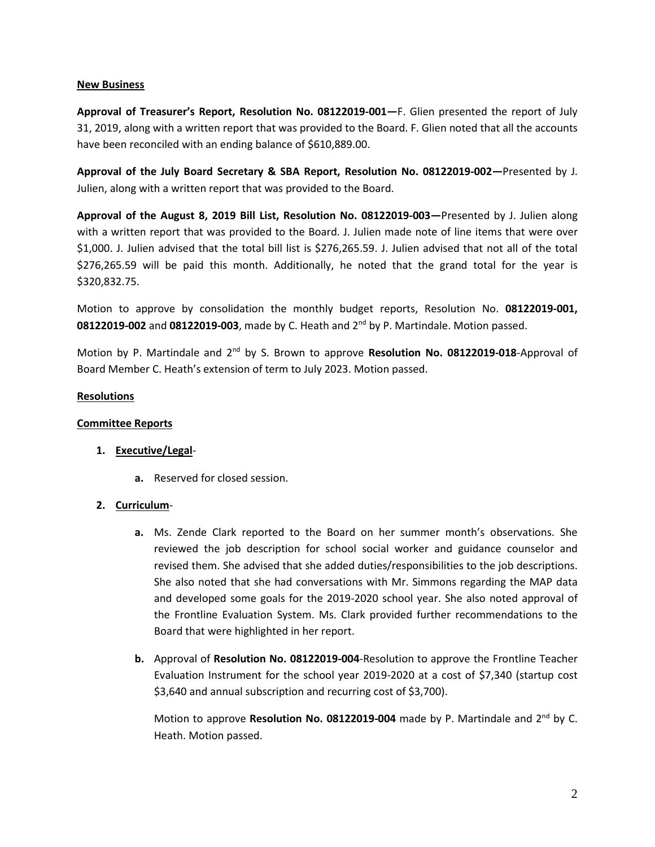### **New Business**

**Approval of Treasurer's Report, Resolution No. 08122019-001—**F. Glien presented the report of July 31, 2019, along with a written report that was provided to the Board. F. Glien noted that all the accounts have been reconciled with an ending balance of \$610,889.00.

**Approval of the July Board Secretary & SBA Report, Resolution No. 08122019-002—**Presented by J. Julien, along with a written report that was provided to the Board.

**Approval of the August 8, 2019 Bill List, Resolution No. 08122019-003—**Presented by J. Julien along with a written report that was provided to the Board. J. Julien made note of line items that were over \$1,000. J. Julien advised that the total bill list is \$276,265.59. J. Julien advised that not all of the total \$276,265.59 will be paid this month. Additionally, he noted that the grand total for the year is \$320,832.75.

Motion to approve by consolidation the monthly budget reports, Resolution No. **08122019-001,** 08122019-002 and 08122019-003, made by C. Heath and 2<sup>nd</sup> by P. Martindale. Motion passed.

Motion by P. Martindale and 2<sup>nd</sup> by S. Brown to approve Resolution No. 08122019-018-Approval of Board Member C. Heath's extension of term to July 2023. Motion passed.

#### **Resolutions**

### **Committee Reports**

## **1. Executive/Legal**-

**a.** Reserved for closed session.

## **2. Curriculum**-

- **a.** Ms. Zende Clark reported to the Board on her summer month's observations. She reviewed the job description for school social worker and guidance counselor and revised them. She advised that she added duties/responsibilities to the job descriptions. She also noted that she had conversations with Mr. Simmons regarding the MAP data and developed some goals for the 2019-2020 school year. She also noted approval of the Frontline Evaluation System. Ms. Clark provided further recommendations to the Board that were highlighted in her report.
- **b.** Approval of **Resolution No. 08122019-004**-Resolution to approve the Frontline Teacher Evaluation Instrument for the school year 2019-2020 at a cost of \$7,340 (startup cost \$3,640 and annual subscription and recurring cost of \$3,700).

Motion to approve Resolution No. 08122019-004 made by P. Martindale and 2<sup>nd</sup> by C. Heath. Motion passed.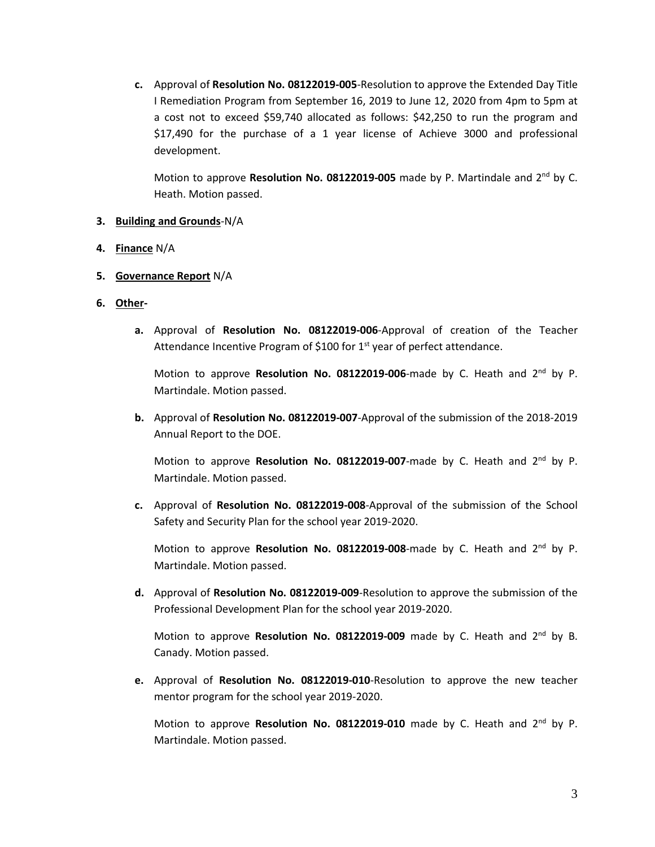**c.** Approval of **Resolution No. 08122019-005**-Resolution to approve the Extended Day Title I Remediation Program from September 16, 2019 to June 12, 2020 from 4pm to 5pm at a cost not to exceed \$59,740 allocated as follows: \$42,250 to run the program and \$17,490 for the purchase of a 1 year license of Achieve 3000 and professional development.

Motion to approve Resolution No. 08122019-005 made by P. Martindale and 2<sup>nd</sup> by C. Heath. Motion passed.

## **3. Building and Grounds**-N/A

- **4. Finance** N/A
- **5. Governance Report** N/A
- **6. Other**
	- **a.** Approval of **Resolution No. 08122019-006**-Approval of creation of the Teacher Attendance Incentive Program of \$100 for 1<sup>st</sup> year of perfect attendance.

Motion to approve Resolution No. 08122019-006-made by C. Heath and 2<sup>nd</sup> by P. Martindale. Motion passed.

**b.** Approval of **Resolution No. 08122019-007**-Approval of the submission of the 2018-2019 Annual Report to the DOE.

Motion to approve Resolution No. 08122019-007-made by C. Heath and 2<sup>nd</sup> by P. Martindale. Motion passed.

**c.** Approval of **Resolution No. 08122019-008**-Approval of the submission of the School Safety and Security Plan for the school year 2019-2020.

Motion to approve Resolution No. 08122019-008-made by C. Heath and 2<sup>nd</sup> by P. Martindale. Motion passed.

**d.** Approval of **Resolution No. 08122019-009**-Resolution to approve the submission of the Professional Development Plan for the school year 2019-2020.

Motion to approve Resolution No. 08122019-009 made by C. Heath and 2<sup>nd</sup> by B. Canady. Motion passed.

**e.** Approval of **Resolution No. 08122019-010**-Resolution to approve the new teacher mentor program for the school year 2019-2020.

Motion to approve Resolution No. 08122019-010 made by C. Heath and 2<sup>nd</sup> by P. Martindale. Motion passed.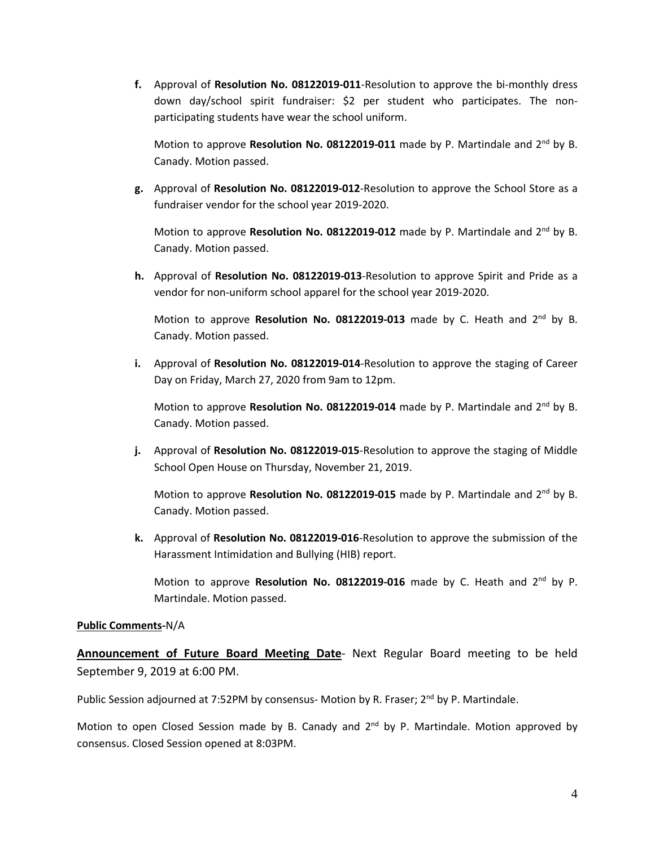**f.** Approval of **Resolution No. 08122019-011**-Resolution to approve the bi-monthly dress down day/school spirit fundraiser: \$2 per student who participates. The nonparticipating students have wear the school uniform.

Motion to approve Resolution No. 08122019-011 made by P. Martindale and 2<sup>nd</sup> by B. Canady. Motion passed.

**g.** Approval of **Resolution No. 08122019-012**-Resolution to approve the School Store as a fundraiser vendor for the school year 2019-2020.

Motion to approve Resolution No. 08122019-012 made by P. Martindale and 2<sup>nd</sup> by B. Canady. Motion passed.

**h.** Approval of **Resolution No. 08122019-013**-Resolution to approve Spirit and Pride as a vendor for non-uniform school apparel for the school year 2019-2020.

Motion to approve Resolution No. 08122019-013 made by C. Heath and 2<sup>nd</sup> by B. Canady. Motion passed.

**i.** Approval of **Resolution No. 08122019-014**-Resolution to approve the staging of Career Day on Friday, March 27, 2020 from 9am to 12pm.

Motion to approve Resolution No. 08122019-014 made by P. Martindale and 2<sup>nd</sup> by B. Canady. Motion passed.

**j.** Approval of **Resolution No. 08122019-015**-Resolution to approve the staging of Middle School Open House on Thursday, November 21, 2019.

Motion to approve Resolution No. 08122019-015 made by P. Martindale and 2<sup>nd</sup> by B. Canady. Motion passed.

**k.** Approval of **Resolution No. 08122019-016**-Resolution to approve the submission of the Harassment Intimidation and Bullying (HIB) report.

Motion to approve Resolution No. 08122019-016 made by C. Heath and 2<sup>nd</sup> by P. Martindale. Motion passed.

## **Public Comments-**N/A

**Announcement of Future Board Meeting Date**- Next Regular Board meeting to be held September 9, 2019 at 6:00 PM.

Public Session adjourned at 7:52PM by consensus- Motion by R. Fraser; 2<sup>nd</sup> by P. Martindale.

Motion to open Closed Session made by B. Canady and 2<sup>nd</sup> by P. Martindale. Motion approved by consensus. Closed Session opened at 8:03PM.